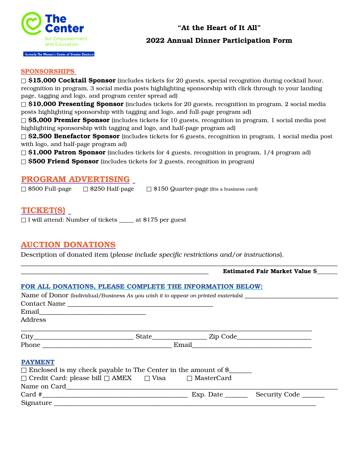

# **"At the Heart of It All"**

#### **2022 Annual Dinner Participation Form**

#### **SPONSORSHIPS**

□ **\$15,000 Cocktail Sponsor** (includes tickets for 20 guests, special recognition during cocktail hour, recognition in program, 3 social media posts highlighting sponsorship with click through to your landing page, tagging and logo, and program center spread ad)

**□ \$10,000 Presenting Sponsor** (includes tickets for 20 guests, recognition in program, 2 social media posts highlighting sponsorship with tagging and logo, and full-page program ad)

□ **\$5,000 Premier Sponsor** (includes tickets for 10 guests, recognition in program, 1 social media post highlighting sponsorship with tagging and logo, and half-page program ad)

□ **\$2,500 Benefactor Sponsor** (includes tickets for 6 guests, recognition in program, 1 social media post with logo, and half-page program ad)

□ **\$1,000 Patron Sponsor** (includes tickets for 4 guests, recognition in program, 1/4 program ad)

□ **\$500 Friend Sponsor** (includes tickets for 2 guests, recognition in program)

## **PROGRAM ADVERTISING**

 $\Box$  \$500 Full-page  $\Box$  \$250 Half-page  $\Box$  \$150 Quarter-page (fits a business card)

### **TICKET(S)**

 $\hfill\Box$  <br> I will attend: Number of tickets \_\_\_\_\_ at \$175 per guest

### **AUCTION DONATIONS**

Description of donated item (*please include specific restrictions and/or instructions*).

|                                                                                                                                                                                                                                |                                                                                   | <b>Estimated Fair Market Value \$</b>      |
|--------------------------------------------------------------------------------------------------------------------------------------------------------------------------------------------------------------------------------|-----------------------------------------------------------------------------------|--------------------------------------------|
|                                                                                                                                                                                                                                | FOR ALL DONATIONS, PLEASE COMPLETE THE INFORMATION BELOW:                         |                                            |
|                                                                                                                                                                                                                                | Name of Donor (Individual/Business As you wish it to appear on printed materials) |                                            |
|                                                                                                                                                                                                                                |                                                                                   |                                            |
| Email expression and the contract of the contract of the contract of the contract of the contract of the contract of the contract of the contract of the contract of the contract of the contract of the contract of the contr |                                                                                   |                                            |
| Address                                                                                                                                                                                                                        |                                                                                   |                                            |
|                                                                                                                                                                                                                                |                                                                                   |                                            |
|                                                                                                                                                                                                                                |                                                                                   |                                            |
| <b>PAYMENT</b>                                                                                                                                                                                                                 |                                                                                   |                                            |
|                                                                                                                                                                                                                                | $\Box$ Enclosed is my check payable to The Center in the amount of \$             |                                            |
|                                                                                                                                                                                                                                | $\Box$ Credit Card: please bill $\Box$ AMEX $\Box$ Visa $\Box$ MasterCard         |                                            |
|                                                                                                                                                                                                                                |                                                                                   |                                            |
|                                                                                                                                                                                                                                |                                                                                   | Exp. Date __________ Security Code _______ |
|                                                                                                                                                                                                                                |                                                                                   |                                            |